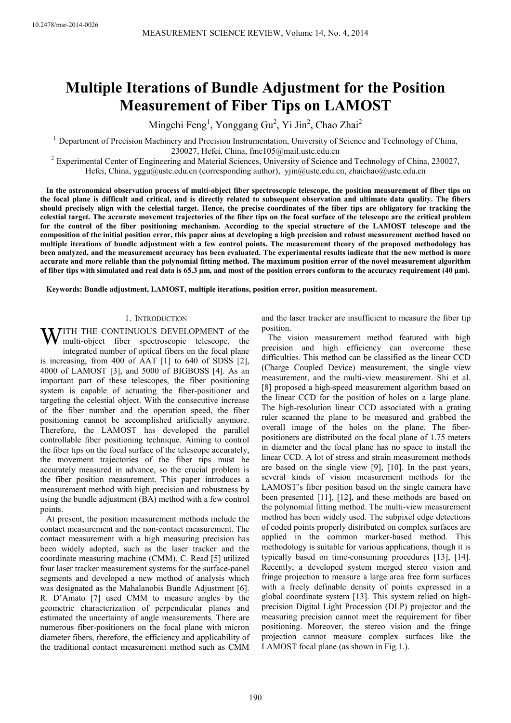# **Multiple Iterations of Bundle Adjustment for the Position Measurement of Fiber Tips on LAMOST**

Mingchi Feng<sup>1</sup>, Yonggang Gu<sup>2</sup>, Yi Jin<sup>2</sup>, Chao Zhai<sup>2</sup>

<sup>1</sup> Department of Precision Machinery and Precision Instrumentation, University of Science and Technology of China, 230027, Hefei, China, fmc105@mail.ustc.edu.cn

<sup>2</sup> Experimental Center of Engineering and Material Sciences, University of Science and Technology of China, 230027, Hefei, China, yggu@ustc.edu.cn (corresponding author), yjin@ustc.edu.cn, zhaichao@ustc.edu.cn

**In the astronomical observation process of multi-object fiber spectroscopic telescope, the position measurement of fiber tips on the focal plane is difficult and critical, and is directly related to subsequent observation and ultimate data quality. The fibers should precisely align with the celestial target. Hence, the precise coordinates of the fiber tips are obligatory for tracking the celestial target. The accurate movement trajectories of the fiber tips on the focal surface of the telescope are the critical problem for the control of the fiber positioning mechanism. According to the special structure of the LAMOST telescope and the composition of the initial position error, this paper aims at developing a high precision and robust measurement method based on multiple iterations of bundle adjustment with a few control points. The measurement theory of the proposed methodology has been analyzed, and the measurement accuracy has been evaluated. The experimental results indicate that the new method is more accurate and more reliable than the polynomial fitting method. The maximum position error of the novel measurement algorithm**  of fiber tips with simulated and real data is  $65.3 \mu m$ , and most of the position errors conform to the accuracy requirement  $(40 \mu m)$ .

**Keywords: Bundle adjustment, LAMOST, multiple iterations, position error, position measurement.** 

#### 1. INTRODUCTION

**W**ITH THE CONTINUOUS DEVELOPMENT of the multi-object fiber spectroscopic telescope, the integrated number of ortical fibers on the focal plane. multi-object fiber spectroscopic telescope, the integrated number of optical fibers on the focal plane is increasing, from 400 of AAT [1] to 640 of SDSS [2],

4000 of LAMOST [3], and 5000 of BIGBOSS [4]. As an important part of these telescopes, the fiber positioning system is capable of actuating the fiber-positioner and targeting the celestial object. With the consecutive increase of the fiber number and the operation speed, the fiber positioning cannot be accomplished artificially anymore. Therefore, the LAMOST has developed the parallel controllable fiber positioning technique. Aiming to control the fiber tips on the focal surface of the telescope accurately, the movement trajectories of the fiber tips must be accurately measured in advance, so the crucial problem is the fiber position measurement. This paper introduces a measurement method with high precision and robustness by using the bundle adjustment (BA) method with a few control points.

At present, the position measurement methods include the contact measurement and the non-contact measurement. The contact measurement with a high measuring precision has been widely adopted, such as the laser tracker and the coordinate measuring machine (CMM). C. Read [5] utilized four laser tracker measurement systems for the surface-panel segments and developed a new method of analysis which was designated as the Mahalanobis Bundle Adjustment [6]. R. D'Amato [7] used CMM to measure angles by the geometric characterization of perpendicular planes and estimated the uncertainty of angle measurements. There are numerous fiber-positioners on the focal plane with micron diameter fibers, therefore, the efficiency and applicability of the traditional contact measurement method such as CMM and the laser tracker are insufficient to measure the fiber tip position.

The vision measurement method featured with high precision and high efficiency can overcome these difficulties. This method can be classified as the linear CCD (Charge Coupled Device) measurement, the single view measurement, and the multi-view measurement. Shi et al. [8] proposed a high-speed measurement algorithm based on the linear CCD for the position of holes on a large plane. The high-resolution linear CCD associated with a grating ruler scanned the plane to be measured and grabbed the overall image of the holes on the plane. The fiberpositioners are distributed on the focal plane of 1.75 meters in diameter and the focal plane has no space to install the linear CCD. A lot of stress and strain measurement methods are based on the single view [9], [10]. In the past years, several kinds of vision measurement methods for the LAMOST's fiber position based on the single camera have been presented [11], [12], and these methods are based on the polynomial fitting method. The multi-view measurement method has been widely used. The subpixel edge detections of coded points properly distributed on complex surfaces are applied in the common marker-based method. This methodology is suitable for various applications, though it is typically based on time-consuming procedures [13], [14]. Recently, a developed system merged stereo vision and fringe projection to measure a large area free form surfaces with a freely definable density of points expressed in a global coordinate system [13]. This system relied on highprecision Digital Light Procession (DLP) projector and the measuring precision cannot meet the requirement for fiber positioning. Moreover, the stereo vision and the fringe projection cannot measure complex surfaces like the LAMOST focal plane (as shown in Fig.1.).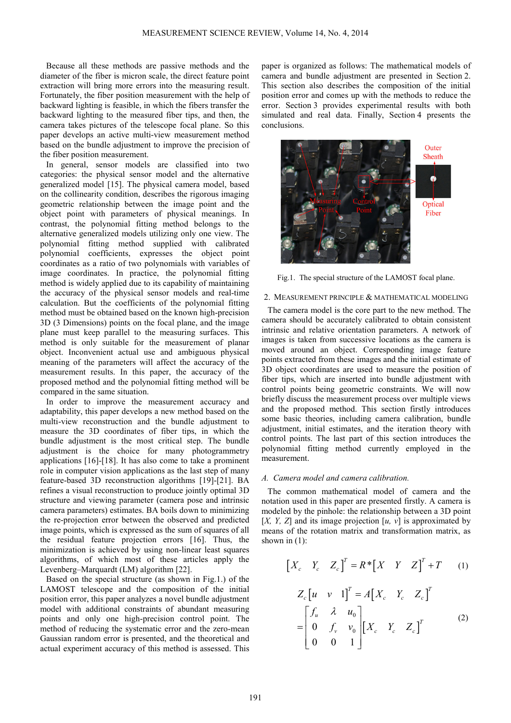Because all these methods are passive methods and the diameter of the fiber is micron scale, the direct feature point extraction will bring more errors into the measuring result. Fortunately, the fiber position measurement with the help of backward lighting is feasible, in which the fibers transfer the backward lighting to the measured fiber tips, and then, the camera takes pictures of the telescope focal plane. So this paper develops an active multi-view measurement method based on the bundle adjustment to improve the precision of the fiber position measurement.

In general, sensor models are classified into two categories: the physical sensor model and the alternative generalized model [15]. The physical camera model, based on the collinearity condition, describes the rigorous imaging geometric relationship between the image point and the object point with parameters of physical meanings. In contrast, the polynomial fitting method belongs to the alternative generalized models utilizing only one view. The polynomial fitting method supplied with calibrated polynomial coefficients, expresses the object point coordinates as a ratio of two polynomials with variables of image coordinates. In practice, the polynomial fitting method is widely applied due to its capability of maintaining the accuracy of the physical sensor models and real-time calculation. But the coefficients of the polynomial fitting method must be obtained based on the known high-precision 3D (3 Dimensions) points on the focal plane, and the image plane must keep parallel to the measuring surfaces. This method is only suitable for the measurement of planar object. Inconvenient actual use and ambiguous physical meaning of the parameters will affect the accuracy of the measurement results. In this paper, the accuracy of the proposed method and the polynomial fitting method will be compared in the same situation.

In order to improve the measurement accuracy and adaptability, this paper develops a new method based on the multi-view reconstruction and the bundle adjustment to measure the 3D coordinates of fiber tips, in which the bundle adjustment is the most critical step. The bundle adjustment is the choice for many photogrammetry applications [16]-[18]. It has also come to take a prominent role in computer vision applications as the last step of many feature-based 3D reconstruction algorithms [19]-[21]. BA refines a visual reconstruction to produce jointly optimal 3D structure and viewing parameter (camera pose and intrinsic camera parameters) estimates. BA boils down to minimizing the re-projection error between the observed and predicted image points, which is expressed as the sum of squares of all the residual feature projection errors [16]. Thus, the minimization is achieved by using non-linear least squares algorithms, of which most of these articles apply the Levenberg–Marquardt (LM) algorithm [22].

Based on the special structure (as shown in Fig.1.) of the LAMOST telescope and the composition of the initial position error, this paper analyzes a novel bundle adjustment model with additional constraints of abundant measuring points and only one high-precision control point. The method of reducing the systematic error and the zero-mean Gaussian random error is presented, and the theoretical and actual experiment accuracy of this method is assessed. This

paper is organized as follows: The mathematical models of camera and bundle adjustment are presented in Section 2. This section also describes the composition of the initial position error and comes up with the methods to reduce the error. Section 3 provides experimental results with both simulated and real data. Finally, Section 4 presents the conclusions.



Fig.1. The special structure of the LAMOST focal plane.

# 2. MEASUREMENT PRINCIPLE & MATHEMATICAL MODELING

The camera model is the core part to the new method. The camera should be accurately calibrated to obtain consistent intrinsic and relative orientation parameters. A network of images is taken from successive locations as the camera is moved around an object. Corresponding image feature points extracted from these images and the initial estimate of 3D object coordinates are used to measure the position of fiber tips, which are inserted into bundle adjustment with control points being geometric constraints. We will now briefly discuss the measurement process over multiple views and the proposed method. This section firstly introduces some basic theories, including camera calibration, bundle adjustment, initial estimates, and the iteration theory with control points. The last part of this section introduces the polynomial fitting method currently employed in the measurement.

# *A. Camera model and camera calibration.*

The common mathematical model of camera and the notation used in this paper are presented firstly. A camera is modeled by the pinhole: the relationship between a 3D point [*X, Y, Z*] and its image projection [*u, v*] is approximated by means of the rotation matrix and transformation matrix, as shown in  $(1)$ :

$$
\begin{bmatrix} X_c & Y_c & Z_c \end{bmatrix}^T = R^* \begin{bmatrix} X & Y & Z \end{bmatrix}^T + T \qquad (1)
$$

$$
Z_c \begin{bmatrix} u & v & 1 \end{bmatrix}^T = A \begin{bmatrix} X_c & Y_c & Z_c \end{bmatrix}^T
$$

$$
= \begin{bmatrix} f_u & \lambda & u_0 \\ 0 & f_v & v_0 \\ 0 & 0 & 1 \end{bmatrix} \begin{bmatrix} X_c & Y_c & Z_c \end{bmatrix}^T
$$
(2)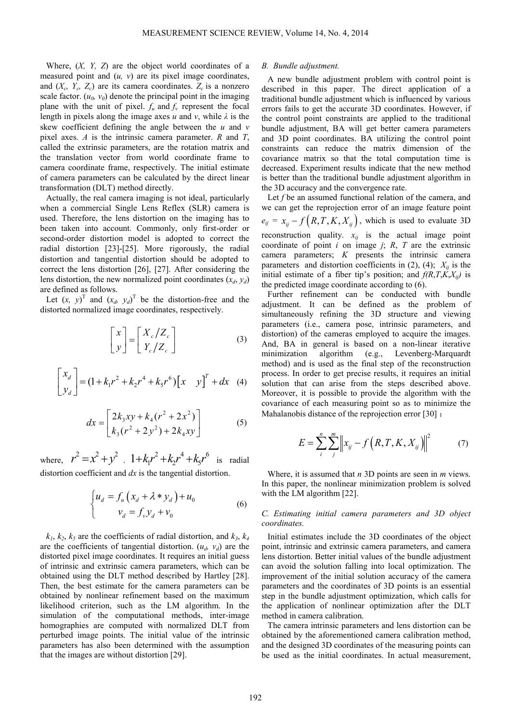Where, (*X, Y, Z*) are the object world coordinates of a measured point and (*u, v*) are its pixel image coordinates, and  $(X_c, Y_c, Z_c)$  are its camera coordinates.  $Z_c$  is a nonzero scale factor.  $(u_0, v_0)$  denote the principal point in the imaging plane with the unit of pixel.  $f_u$  and  $f_v$  represent the focal length in pixels along the image axes *u* and *v*, while *λ* is the skew coefficient defining the angle between the *u* and *v* pixel axes. *A* is the intrinsic camera parameter. *R* and *T*, called the extrinsic parameters, are the rotation matrix and the translation vector from world coordinate frame to camera coordinate frame, respectively. The initial estimate of camera parameters can be calculated by the direct linear transformation (DLT) method directly.

Actually, the real camera imaging is not ideal, particularly when a commercial Single Lens Reflex (SLR) camera is used. Therefore, the lens distortion on the imaging has to been taken into account. Commonly, only first-order or second-order distortion model is adopted to correct the radial distortion [23]-[25]. More rigorously, the radial distortion and tangential distortion should be adopted to correct the lens distortion [26], [27]. After considering the lens distortion, the new normalized point coordinates  $(x_d, y_d)$ are defined as follows.

Let  $(x, y)^T$  and  $(x_d, y_d)^T$  be the distortion-free and the distorted normalized image coordinates, respectively.

$$
\begin{bmatrix} x \\ y \end{bmatrix} = \begin{bmatrix} X_c/Z_c \\ Y_c/Z_c \end{bmatrix}
$$
 (3)

$$
\begin{bmatrix} x_d \\ y_d \end{bmatrix} = (1 + k_1 r^2 + k_2 r^4 + k_5 r^6) \begin{bmatrix} x & y \end{bmatrix}^T + dx \quad (4)
$$

$$
dx = \begin{bmatrix} 2k_3xy + k_4(r^2 + 2x^2) \\ k_3(r^2 + 2y^2) + 2k_4xy \end{bmatrix}
$$
 (5)

where,  $r^2 = x^2 + y^2$  .  $1 + k_1 r^2 + k_2 r^4 + k_5 r^6$  is radial distortion coefficient and *dx* is the tangential distortion.

$$
\begin{cases} u_d = f_u \left( x_d + \lambda * y_d \right) + u_0 \\ v_d = f_v y_d + v_0 \end{cases}
$$
 (6)

 $k_1, k_2, k_5$  are the coefficients of radial distortion, and  $k_3, k_4$ are the coefficients of tangential distortion.  $(u_d, v_d)$  are the distorted pixel image coordinates. It requires an initial guess of intrinsic and extrinsic camera parameters, which can be obtained using the DLT method described by Hartley [28]. Then, the best estimate for the camera parameters can be obtained by nonlinear refinement based on the maximum likelihood criterion, such as the LM algorithm. In the simulation of the computational methods, inter-image homographies are computed with normalized DLT from perturbed image points. The initial value of the intrinsic parameters has also been determined with the assumption that the images are without distortion [29].

#### *B. Bundle adjustment.*

A new bundle adjustment problem with control point is described in this paper. The direct application of a traditional bundle adjustment which is influenced by various errors fails to get the accurate 3D coordinates. However, if the control point constraints are applied to the traditional bundle adjustment, BA will get better camera parameters and 3D point coordinates. BA utilizing the control point constraints can reduce the matrix dimension of the covariance matrix so that the total computation time is decreased. Experiment results indicate that the new method is better than the traditional bundle adjustment algorithm in the 3D accuracy and the convergence rate.

Let *f* be an assumed functional relation of the camera, and we can get the reprojection error of an image feature point  $e_{ij} = x_{ij} - f(R, T, K, X_{ij})$ , which is used to evaluate 3D reconstruction quality.  $x_{ij}$  is the actual image point coordinate of point  $i$  on image  $j$ ;  $R$ ,  $T$  are the extrinsic camera parameters; *K* presents the intrinsic camera parameters and distortion coefficients in (2), (4);  $X_{ij}$  is the initial estimate of a fiber tip's position; and  $f(R, T, K, X_{ii})$  is the predicted image coordinate according to (6).

Further refinement can be conducted with bundle adjustment. It can be defined as the problem of simultaneously refining the 3D structure and viewing parameters (i.e., camera pose, intrinsic parameters, and distortion) of the cameras employed to acquire the images. And, BA in general is based on a non-linear iterative minimization algorithm (e.g., Levenberg-Marquardt method) and is used as the final step of the reconstruction process. In order to get precise results, it requires an initial solution that can arise from the steps described above. Moreover, it is possible to provide the algorithm with the covariance of each measuring point so as to minimize the Mahalanobis distance of the reprojection error [30] :

$$
E = \sum_{i}^{n} \sum_{j}^{m} \left\| x_{ij} - f(R, T, K, X_{ij}) \right\|^{2}
$$
 (7)

Where, it is assumed that *n* 3D points are seen in *m* views. In this paper, the nonlinear minimization problem is solved with the LM algorithm [22].

# *C. Estimating initial camera parameters and 3D object coordinates.*

Initial estimates include the 3D coordinates of the object point, intrinsic and extrinsic camera parameters, and camera lens distortion. Better initial values of the bundle adjustment can avoid the solution falling into local optimization. The improvement of the initial solution accuracy of the camera parameters and the coordinates of 3D points is an essential step in the bundle adjustment optimization, which calls for the application of nonlinear optimization after the DLT method in camera calibration.

The camera intrinsic parameters and lens distortion can be obtained by the aforementioned camera calibration method, and the designed 3D coordinates of the measuring points can be used as the initial coordinates. In actual measurement,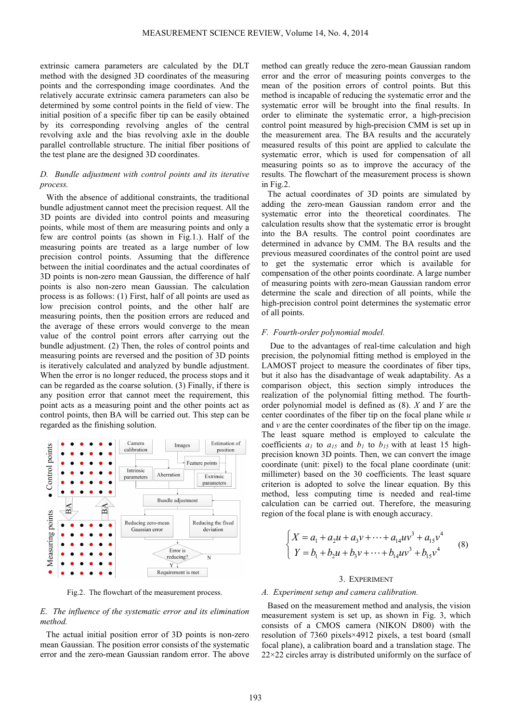extrinsic camera parameters are calculated by the DLT method with the designed 3D coordinates of the measuring points and the corresponding image coordinates. And the relatively accurate extrinsic camera parameters can also be determined by some control points in the field of view. The initial position of a specific fiber tip can be easily obtained by its corresponding revolving angles of the central revolving axle and the bias revolving axle in the double parallel controllable structure. The initial fiber positions of the test plane are the designed 3D coordinates.

# *D. Bundle adjustment with control points and its iterative process.*

With the absence of additional constraints, the traditional bundle adjustment cannot meet the precision request. All the 3D points are divided into control points and measuring points, while most of them are measuring points and only a few are control points (as shown in Fig.1.). Half of the measuring points are treated as a large number of low precision control points. Assuming that the difference between the initial coordinates and the actual coordinates of 3D points is non-zero mean Gaussian, the difference of half points is also non-zero mean Gaussian. The calculation process is as follows: (1) First, half of all points are used as low precision control points, and the other half are measuring points, then the position errors are reduced and the average of these errors would converge to the mean value of the control point errors after carrying out the bundle adjustment. (2) Then, the roles of control points and measuring points are reversed and the position of 3D points is iteratively calculated and analyzed by bundle adjustment. When the error is no longer reduced, the process stops and it can be regarded as the coarse solution. (3) Finally, if there is any position error that cannot meet the requirement, this point acts as a measuring point and the other points act as control points, then BA will be carried out. This step can be regarded as the finishing solution.



Fig.2. The flowchart of the measurement process.

### *E. The influence of the systematic error and its elimination method.*

The actual initial position error of 3D points is non-zero mean Gaussian. The position error consists of the systematic error and the zero-mean Gaussian random error. The above method can greatly reduce the zero-mean Gaussian random error and the error of measuring points converges to the mean of the position errors of control points. But this method is incapable of reducing the systematic error and the systematic error will be brought into the final results. In order to eliminate the systematic error, a high-precision control point measured by high-precision CMM is set up in the measurement area. The BA results and the accurately measured results of this point are applied to calculate the systematic error, which is used for compensation of all measuring points so as to improve the accuracy of the results. The flowchart of the measurement process is shown in Fig.2.

The actual coordinates of 3D points are simulated by adding the zero-mean Gaussian random error and the systematic error into the theoretical coordinates. The calculation results show that the systematic error is brought into the BA results. The control point coordinates are determined in advance by CMM. The BA results and the previous measured coordinates of the control point are used to get the systematic error which is available for compensation of the other points coordinate. A large number of measuring points with zero-mean Gaussian random error determine the scale and direction of all points, while the high-precision control point determines the systematic error of all points.

#### *F. Fourth-order polynomial model.*

Due to the advantages of real-time calculation and high precision, the polynomial fitting method is employed in the LAMOST project to measure the coordinates of fiber tips, but it also has the disadvantage of weak adaptability. As a comparison object, this section simply introduces the realization of the polynomial fitting method. The fourthorder polynomial model is defined as (8). *X* and *Y* are the center coordinates of the fiber tip on the focal plane while *u* and *v* are the center coordinates of the fiber tip on the image. The least square method is employed to calculate the coefficients  $a_1$  to  $a_{15}$  and  $b_1$  to  $b_{15}$  with at least 15 highprecision known 3D points. Then, we can convert the image coordinate (unit: pixel) to the focal plane coordinate (unit: millimeter) based on the 30 coefficients. The least square criterion is adopted to solve the linear equation. By this method, less computing time is needed and real-time calculation can be carried out. Therefore, the measuring region of the focal plane is with enough accuracy.

$$
\begin{cases}\nX = a_1 + a_2 u + a_3 v + \dots + a_{14} u v^3 + a_{15} v^4 \\
Y = b_1 + b_2 u + b_3 v + \dots + b_{14} u v^3 + b_{15} v^4\n\end{cases}
$$
\n(8)

#### 3. EXPERIMENT

#### *A. Experiment setup and camera calibration.*

Based on the measurement method and analysis, the vision measurement system is set up, as shown in Fig. 3, which consists of a CMOS camera (NIKON D800) with the resolution of 7360 pixels×4912 pixels, a test board (small focal plane), a calibration board and a translation stage. The  $22 \times 22$  circles array is distributed uniformly on the surface of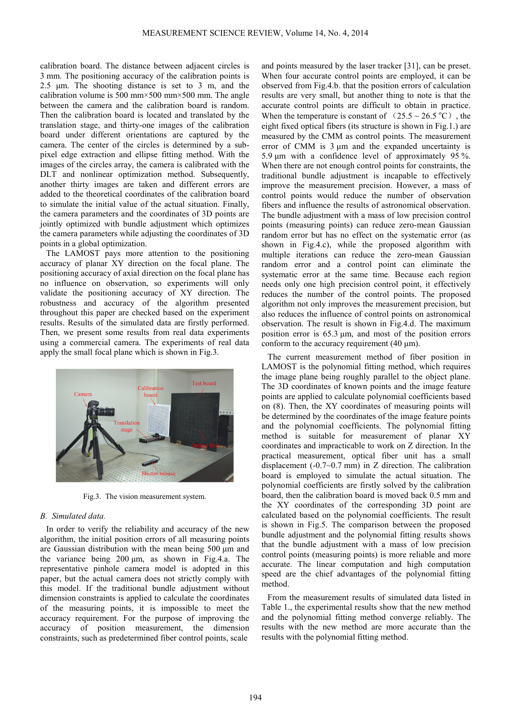calibration board. The distance between adjacent circles is 3 mm. The positioning accuracy of the calibration points is 2.5 µm. The shooting distance is set to 3 m, and the calibration volume is 500 mm $\times$ 500 mm $\times$ 500 mm. The angle between the camera and the calibration board is random. Then the calibration board is located and translated by the translation stage, and thirty-one images of the calibration board under different orientations are captured by the camera. The center of the circles is determined by a subpixel edge extraction and ellipse fitting method. With the images of the circles array, the camera is calibrated with the DLT and nonlinear optimization method. Subsequently, another thirty images are taken and different errors are added to the theoretical coordinates of the calibration board to simulate the initial value of the actual situation. Finally, the camera parameters and the coordinates of 3D points are jointly optimized with bundle adjustment which optimizes the camera parameters while adjusting the coordinates of 3D points in a global optimization.

The LAMOST pays more attention to the positioning accuracy of planar XY direction on the focal plane. The positioning accuracy of axial direction on the focal plane has no influence on observation, so experiments will only validate the positioning accuracy of XY direction. The robustness and accuracy of the algorithm presented throughout this paper are checked based on the experiment results. Results of the simulated data are firstly performed. Then, we present some results from real data experiments using a commercial camera. The experiments of real data apply the small focal plane which is shown in Fig.3.



Fig.3. The vision measurement system.

### *B. Simulated data.*

In order to verify the reliability and accuracy of the new algorithm, the initial position errors of all measuring points are Gaussian distribution with the mean being 500 µm and the variance being  $200 \mu m$ , as shown in Fig.4.a. The representative pinhole camera model is adopted in this paper, but the actual camera does not strictly comply with this model. If the traditional bundle adjustment without dimension constraints is applied to calculate the coordinates of the measuring points, it is impossible to meet the accuracy requirement. For the purpose of improving the accuracy of position measurement, the dimension constraints, such as predetermined fiber control points, scale

and points measured by the laser tracker [31], can be preset. When four accurate control points are employed, it can be observed from Fig.4.b. that the position errors of calculation results are very small, but another thing to note is that the accurate control points are difficult to obtain in practice. When the temperature is constant of  $(25.5 \sim 26.5 \degree C)$ , the eight fixed optical fibers (its structure is shown in Fig.1.) are measured by the CMM as control points. The measurement error of CMM is  $3 \mu m$  and the expanded uncertainty is 5.9 µm with a confidence level of approximately 95 %. When there are not enough control points for constraints, the traditional bundle adjustment is incapable to effectively improve the measurement precision. However, a mass of control points would reduce the number of observation fibers and influence the results of astronomical observation. The bundle adjustment with a mass of low precision control points (measuring points) can reduce zero-mean Gaussian random error but has no effect on the systematic error (as shown in Fig.4.c), while the proposed algorithm with multiple iterations can reduce the zero-mean Gaussian random error and a control point can eliminate the systematic error at the same time. Because each region needs only one high precision control point, it effectively reduces the number of the control points. The proposed algorithm not only improves the measurement precision, but also reduces the influence of control points on astronomical observation. The result is shown in Fig.4.d. The maximum position error is 65.3 µm, and most of the position errors conform to the accuracy requirement (40 µm).

The current measurement method of fiber position in LAMOST is the polynomial fitting method, which requires the image plane being roughly parallel to the object plane. The 3D coordinates of known points and the image feature points are applied to calculate polynomial coefficients based on (8). Then, the XY coordinates of measuring points will be determined by the coordinates of the image feature points and the polynomial coefficients. The polynomial fitting method is suitable for measurement of planar XY coordinates and impracticable to work on Z direction. In the practical measurement, optical fiber unit has a small displacement (-0.7~0.7 mm) in Z direction. The calibration board is employed to simulate the actual situation. The polynomial coefficients are firstly solved by the calibration board, then the calibration board is moved back 0.5 mm and the XY coordinates of the corresponding 3D point are calculated based on the polynomial coefficients. The result is shown in Fig.5. The comparison between the proposed bundle adjustment and the polynomial fitting results shows that the bundle adjustment with a mass of low precision control points (measuring points) is more reliable and more accurate. The linear computation and high computation speed are the chief advantages of the polynomial fitting method.

From the measurement results of simulated data listed in Table 1., the experimental results show that the new method and the polynomial fitting method converge reliably. The results with the new method are more accurate than the results with the polynomial fitting method.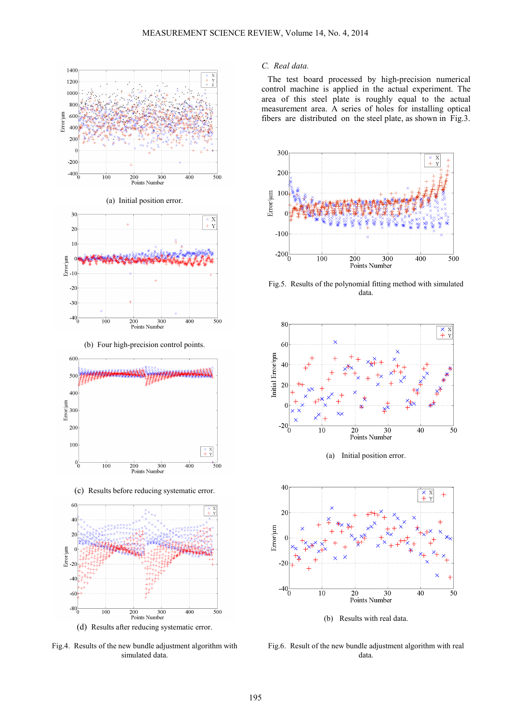

Fig.4. Results of the new bundle adjustment algorithm with simulated data.

*C. Real data.* 

The test board processed by high-precision numerical control machine is applied in the actual experiment. The area of this steel plate is roughly equal to the actual measurement area. A series of holes for installing optical fibers are distributed on the steel plate, as shown in Fig.3.



Fig.5. Results of the polynomial fitting method with simulated data.



(a) Initial position error.



(b) Results with real data.

Fig.6. Result of the new bundle adjustment algorithm with real data.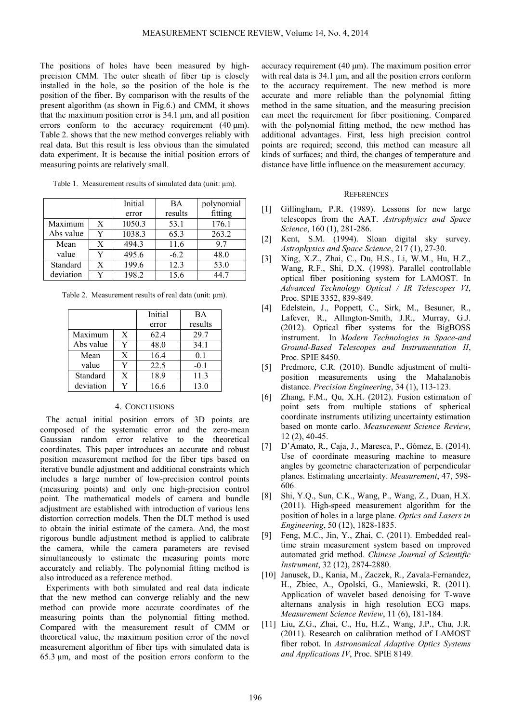The positions of holes have been measured by highprecision CMM. The outer sheath of fiber tip is closely installed in the hole, so the position of the hole is the position of the fiber. By comparison with the results of the present algorithm (as shown in Fig.6.) and CMM, it shows that the maximum position error is 34.1 µm, and all position errors conform to the accuracy requirement  $(40 \text{ µm})$ . Table 2. shows that the new method converges reliably with real data. But this result is less obvious than the simulated data experiment. It is because the initial position errors of measuring points are relatively small.

|                       |   | Initial | <b>BA</b> | polynomial |
|-----------------------|---|---------|-----------|------------|
|                       |   | error   | results   | fitting    |
| Maximum               | X | 1050.3  | 53.1      | 176.1      |
| Abs value             | Y | 1038.3  | 65.3      | 263.2      |
| Mean                  | X | 494.3   | 11.6      | 9.7        |
| value                 | Y | 495.6   | $-6.2$    | 48.0       |
| Standard<br>deviation | X | 199.6   | 12.3      | 53.0       |
|                       |   | 198.2   | 15.6      | 44 7       |

Table 1. Measurement results of simulated data (unit:  $\mu$ m).

Table 2. Measurement results of real data (unit:  $\mu$ m).

|           |   | Initial | <b>BA</b> |
|-----------|---|---------|-----------|
|           |   | error   | results   |
| Maximum   | Χ | 62.4    | 29.7      |
| Abs value | Y | 48.0    | 34.1      |
| Mean      | X | 16.4    | 0.1       |
| value     | Y | 22.5    | $-0.1$    |
| Standard  | X | 18.9    | 11.3      |
| deviation |   | 16.6    | 13.0      |

#### 4. CONCLUSIONS

The actual initial position errors of 3D points are composed of the systematic error and the zero-mean Gaussian random error relative to the theoretical coordinates. This paper introduces an accurate and robust position measurement method for the fiber tips based on iterative bundle adjustment and additional constraints which includes a large number of low-precision control points (measuring points) and only one high-precision control point. The mathematical models of camera and bundle adjustment are established with introduction of various lens distortion correction models. Then the DLT method is used to obtain the initial estimate of the camera. And, the most rigorous bundle adjustment method is applied to calibrate the camera, while the camera parameters are revised simultaneously to estimate the measuring points more accurately and reliably. The polynomial fitting method is also introduced as a reference method.

Experiments with both simulated and real data indicate that the new method can converge reliably and the new method can provide more accurate coordinates of the measuring points than the polynomial fitting method. Compared with the measurement result of CMM or theoretical value, the maximum position error of the novel measurement algorithm of fiber tips with simulated data is 65.3 µm, and most of the position errors conform to the accuracy requirement  $(40 \mu m)$ . The maximum position error with real data is 34.1  $\mu$ m, and all the position errors conform to the accuracy requirement. The new method is more accurate and more reliable than the polynomial fitting method in the same situation, and the measuring precision can meet the requirement for fiber positioning. Compared with the polynomial fitting method, the new method has additional advantages. First, less high precision control points are required; second, this method can measure all kinds of surfaces; and third, the changes of temperature and distance have little influence on the measurement accuracy.

#### **REFERENCES**

- [1] Gillingham, P.R. (1989). Lessons for new large telescopes from the AAT. *Astrophysics and Space Science*, 160 (1), 281-286.
- [2] Kent, S.M. (1994). Sloan digital sky survey. *Astrophysics and Space Science*, 217 (1), 27-30.
- [3] Xing, X.Z., Zhai, C., Du, H.S., Li, W.M., Hu, H.Z., Wang, R.F., Shi, D.X. (1998). Parallel controllable optical fiber positioning system for LAMOST. In *Advanced Technology Optical / IR Telescopes VI*, Proc. SPIE 3352, 839-849.
- [4] Edelstein, J., Poppett, C., Sirk, M., Besuner, R., Lafever, R., Allington-Smith, J.R., Murray, G.J. (2012). Optical fiber systems for the BigBOSS instrument. In *Modern Technologies in Space-and Ground-Based Telescopes and Instrumentation II*, Proc. SPIE 8450.
- [5] Predmore, C.R. (2010). Bundle adjustment of multiposition measurements using the Mahalanobis distance. *Precision Engineering*, 34 (1), 113-123.
- [6] Zhang, F.M., Qu, X.H. (2012). Fusion estimation of point sets from multiple stations of spherical coordinate instruments utilizing uncertainty estimation based on monte carlo. *Measurement Science Review*, 12 (2), 40-45.
- [7] D'Amato, R., Caja, J., Maresca, P., Gómez, E. (2014). Use of coordinate measuring machine to measure angles by geometric characterization of perpendicular planes. Estimating uncertainty. *Measurement*, 47, 598- 606.
- [8] Shi, Y.Q., Sun, C.K., Wang, P., Wang, Z., Duan, H.X. (2011). High-speed measurement algorithm for the position of holes in a large plane. *Optics and Lasers in Engineering*, 50 (12), 1828-1835.
- [9] Feng, M.C., Jin, Y., Zhai, C. (2011). Embedded realtime strain measurement system based on improved automated grid method. *Chinese Journal of Scientific Instrument*, 32 (12), 2874-2880.
- [10] Janusek, D., Kania, M., Zaczek, R., Zavala-Fernandez, H., Zbiec, A., Opolski, G., Maniewski, R. (2011). Application of wavelet based denoising for T-wave alternans analysis in high resolution ECG maps. *Measurement Science Review*, 11 (6), 181-184.
- [11] Liu, Z.G., Zhai, C., Hu, H.Z., Wang, J.P., Chu, J.R. (2011). Research on calibration method of LAMOST fiber robot. In *Astronomical Adaptive Optics Systems and Applications IV*, Proc. SPIE 8149.